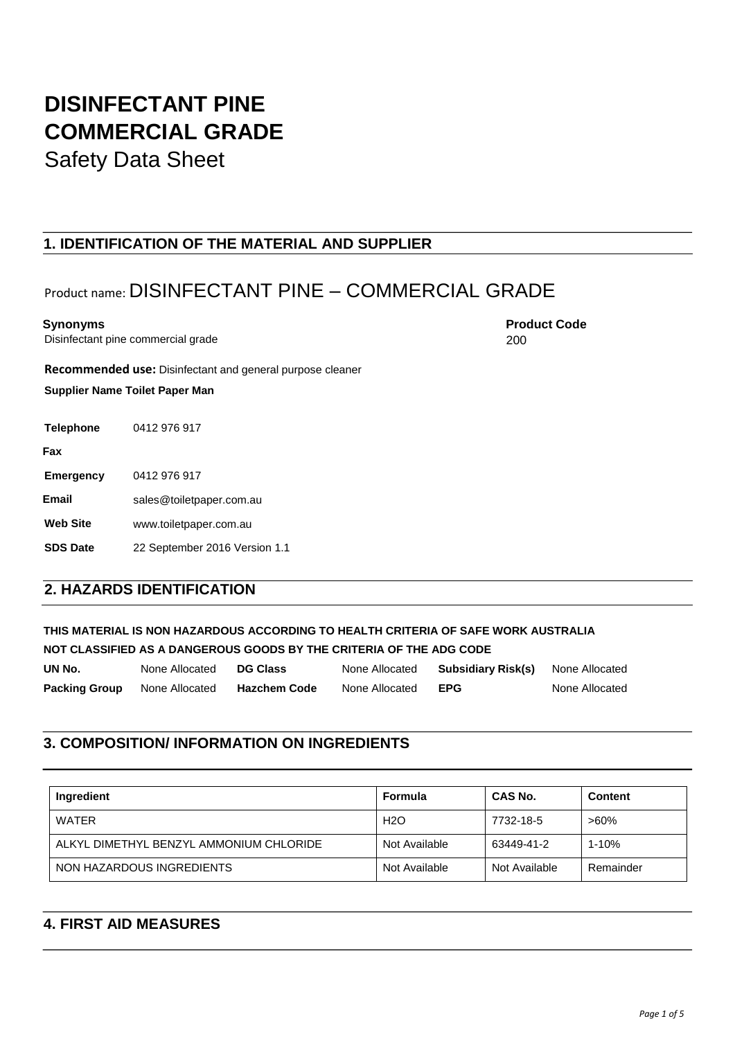# **DISINFECTANT PINE COMMERCIAL GRADE**

Safety Data Sheet

### **1. IDENTIFICATION OF THE MATERIAL AND SUPPLIER**

## Product name: DISINFECTANT PINE – COMMERCIAL GRADE

Disinfectant pine commercial grade

**Recommended use:** Disinfectant and general purpose cleaner

**Supplier Name Toilet Paper Man**

**Telephone** 0412 976 917

**Fax** 

**Emergency** 0412 976 917

**Email** sales@toiletpaper.com.au

**Web Site** www.toiletpaper.com.au

**SDS Date** 22 September 2016 Version 1.1

### **2. HAZARDS IDENTIFICATION**

**THIS MATERIAL IS NON HAZARDOUS ACCORDING TO HEALTH CRITERIA OF SAFE WORK AUSTRALIA NOT CLASSIFIED AS A DANGEROUS GOODS BY THE CRITERIA OF THE ADG CODE** 

**UN No.** None Allocated **DG Class** None Allocated **Subsidiary Risk(s)** None Allocated **Packing Group** None Allocated **Hazchem Code** None Allocated **EPG** None Allocated

### **3. COMPOSITION/ INFORMATION ON INGREDIENTS**

| Ingredient                              | Formula       | <b>CAS No.</b> | Content   |
|-----------------------------------------|---------------|----------------|-----------|
| WATER                                   | H2O           | 7732-18-5      | $>60\%$   |
| ALKYL DIMETHYL BENZYL AMMONIUM CHLORIDE | Not Available | 63449-41-2     | $1 - 10%$ |
| NON HAZARDOUS INGREDIENTS               | Not Available | Not Available  | Remainder |

### **4. FIRST AID MEASURES**

**Synonyms** Product Code **Product Code Product Code Product Code** 200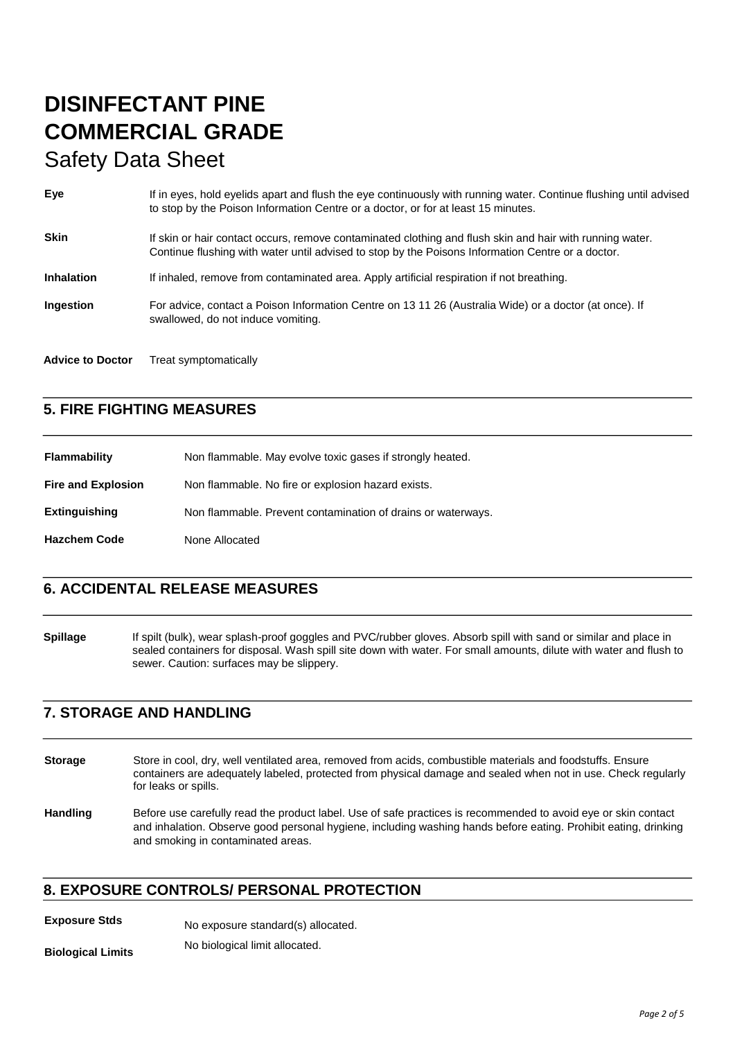| Eye                     | If in eyes, hold eyelids apart and flush the eye continuously with running water. Continue flushing until advised<br>to stop by the Poison Information Centre or a doctor, or for at least 15 minutes.        |
|-------------------------|---------------------------------------------------------------------------------------------------------------------------------------------------------------------------------------------------------------|
| <b>Skin</b>             | If skin or hair contact occurs, remove contaminated clothing and flush skin and hair with running water.<br>Continue flushing with water until advised to stop by the Poisons Information Centre or a doctor. |
| <b>Inhalation</b>       | If inhaled, remove from contaminated area. Apply artificial respiration if not breathing.                                                                                                                     |
| <b>Ingestion</b>        | For advice, contact a Poison Information Centre on 13 11 26 (Australia Wide) or a doctor (at once). If<br>swallowed, do not induce vomiting.                                                                  |
| <b>Advice to Doctor</b> | Treat symptomatically                                                                                                                                                                                         |

### **5. FIRE FIGHTING MEASURES**

| <b>Flammability</b>       | Non flammable. May evolve toxic gases if strongly heated.    |
|---------------------------|--------------------------------------------------------------|
| <b>Fire and Explosion</b> | Non flammable. No fire or explosion hazard exists.           |
| <b>Extinguishing</b>      | Non flammable. Prevent contamination of drains or waterways. |
| <b>Hazchem Code</b>       | None Allocated                                               |

### **6. ACCIDENTAL RELEASE MEASURES**

**Spillage** If spilt (bulk), wear splash-proof goggles and PVC/rubber gloves. Absorb spill with sand or similar and place in sealed containers for disposal. Wash spill site down with water. For small amounts, dilute with water and flush to sewer. Caution: surfaces may be slippery.

### **7. STORAGE AND HANDLING**

- **Storage** Store in cool, dry, well ventilated area, removed from acids, combustible materials and foodstuffs. Ensure containers are adequately labeled, protected from physical damage and sealed when not in use. Check regularly for leaks or spills.
- **Handling** Before use carefully read the product label. Use of safe practices is recommended to avoid eye or skin contact and inhalation. Observe good personal hygiene, including washing hands before eating. Prohibit eating, drinking and smoking in contaminated areas.

### **8. EXPOSURE CONTROLS/ PERSONAL PROTECTION**

**Exposure Stds** No exposure standard(s) allocated.

**Biological Limits** No biological limit allocated.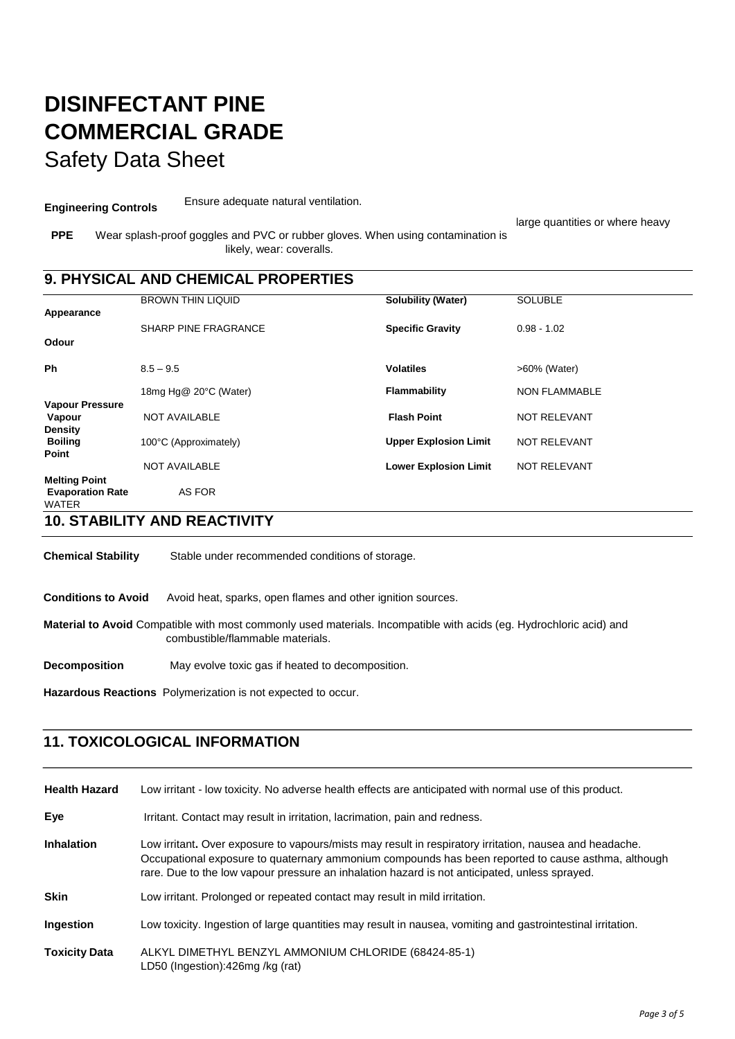**Engineering Controls** Ensure adequate natural ventilation.

large quantities or where heavy

**PPE** Wear splash-proof goggles and PVC or rubber gloves. When using contamination is likely, wear: coveralls.

### **9. PHYSICAL AND CHEMICAL PROPERTIES**

|                                                                 | <b>BROWN THIN LIQUID</b>    | <b>Solubility (Water)</b>    | <b>SOLUBLE</b>       |
|-----------------------------------------------------------------|-----------------------------|------------------------------|----------------------|
| Appearance                                                      |                             |                              |                      |
|                                                                 | <b>SHARP PINE FRAGRANCE</b> | <b>Specific Gravity</b>      | $0.98 - 1.02$        |
| Odour                                                           |                             |                              |                      |
| Ph                                                              | $8.5 - 9.5$                 | <b>Volatiles</b>             | >60% (Water)         |
|                                                                 | 18mg Hg@ 20°C (Water)       | Flammability                 | <b>NON FLAMMABLE</b> |
| <b>Vapour Pressure</b><br>Vapour<br><b>Density</b>              | <b>NOT AVAILABLE</b>        | <b>Flash Point</b>           | <b>NOT RELEVANT</b>  |
| <b>Boiling</b>                                                  | 100°C (Approximately)       | <b>Upper Explosion Limit</b> | <b>NOT RELEVANT</b>  |
| Point                                                           | <b>NOT AVAILABLE</b>        | <b>Lower Explosion Limit</b> | <b>NOT RELEVANT</b>  |
| <b>Melting Point</b><br><b>Evaporation Rate</b><br><b>WATER</b> | AS FOR                      |                              |                      |

**10. STABILITY AND REACTIVITY** 

**Chemical Stability** Stable under recommended conditions of storage.

**Conditions to Avoid** Avoid heat, sparks, open flames and other ignition sources.

**Material to Avoid** Compatible with most commonly used materials. Incompatible with acids (eg. Hydrochloric acid) and combustible/flammable materials.

**Decomposition** May evolve toxic gas if heated to decomposition.

**Hazardous Reactions** Polymerization is not expected to occur.

### **11. TOXICOLOGICAL INFORMATION**

| <b>Health Hazard</b> | Low irritant - low toxicity. No adverse health effects are anticipated with normal use of this product.                                                                                                                                                                                                        |
|----------------------|----------------------------------------------------------------------------------------------------------------------------------------------------------------------------------------------------------------------------------------------------------------------------------------------------------------|
| Eye                  | Irritant. Contact may result in irritation, lacrimation, pain and redness.                                                                                                                                                                                                                                     |
| <b>Inhalation</b>    | Low irritant. Over exposure to vapours/mists may result in respiratory irritation, nausea and headache.<br>Occupational exposure to quaternary ammonium compounds has been reported to cause asthma, although<br>rare. Due to the low vapour pressure an inhalation hazard is not anticipated, unless sprayed. |
| <b>Skin</b>          | Low irritant. Prolonged or repeated contact may result in mild irritation.                                                                                                                                                                                                                                     |
| Ingestion            | Low toxicity. Ingestion of large quantities may result in nausea, vomiting and gastrointestinal irritation.                                                                                                                                                                                                    |
| <b>Toxicity Data</b> | ALKYL DIMETHYL BENZYL AMMONIUM CHLORIDE (68424-85-1)<br>LD50 (Ingestion):426mg /kg (rat)                                                                                                                                                                                                                       |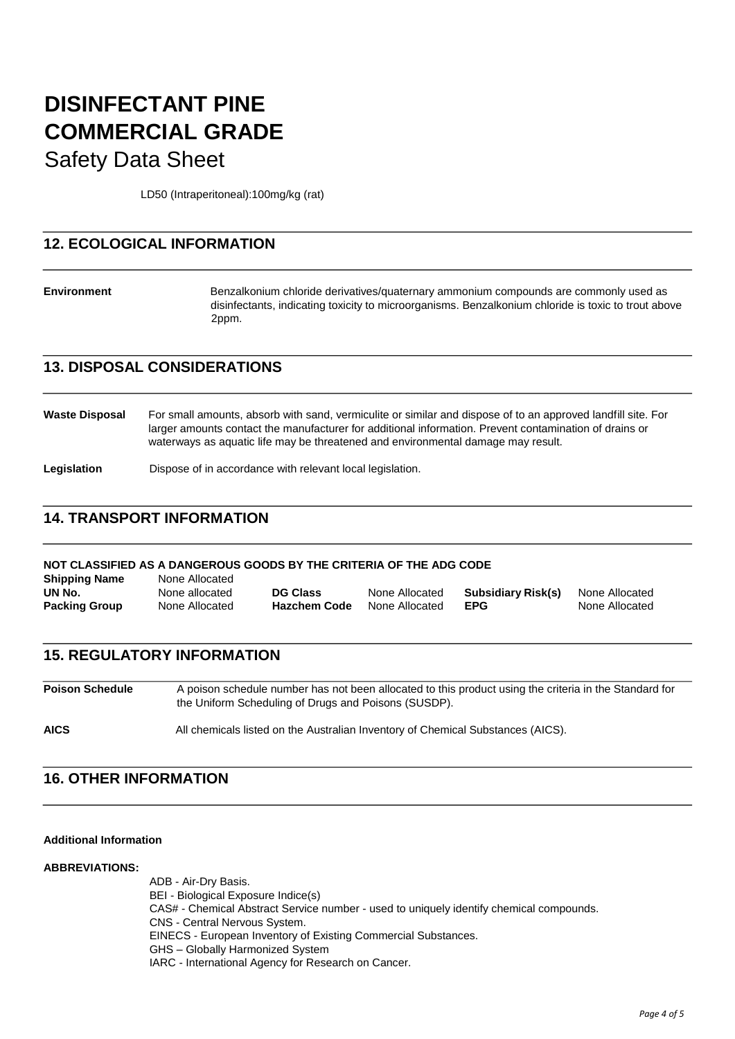LD50 (Intraperitoneal):100mg/kg (rat)

### **12. ECOLOGICAL INFORMATION**

**Environment** Benzalkonium chloride derivatives/quaternary ammonium compounds are commonly used as disinfectants, indicating toxicity to microorganisms. Benzalkonium chloride is toxic to trout above 2ppm.

### **13. DISPOSAL CONSIDERATIONS**

**Waste Disposal** For small amounts, absorb with sand, vermiculite or similar and dispose of to an approved landfill site. For larger amounts contact the manufacturer for additional information. Prevent contamination of drains or waterways as aquatic life may be threatened and environmental damage may result.

**Legislation** Dispose of in accordance with relevant local legislation.

### **14. TRANSPORT INFORMATION**

| NOT CLASSIFIED AS A DANGEROUS GOODS BY THE CRITERIA OF THE ADG CODE |                |                     |                |                    |                |
|---------------------------------------------------------------------|----------------|---------------------|----------------|--------------------|----------------|
| <b>Shipping Name</b>                                                | None Allocated |                     |                |                    |                |
| UN No.                                                              | None allocated | <b>DG Class</b>     | None Allocated | Subsidiary Risk(s) | None Allocated |
| <b>Packing Group</b>                                                | None Allocated | <b>Hazchem Code</b> | None Allocated | <b>EPG</b>         | None Allocated |

### **15. REGULATORY INFORMATION**

**Poison Schedule** A poison schedule number has not been allocated to this product using the criteria in the Standard for the Uniform Scheduling of Drugs and Poisons (SUSDP). **AICS** All chemicals listed on the Australian Inventory of Chemical Substances (AICS).

### **16. OTHER INFORMATION**

#### **Additional Information**

#### **ABBREVIATIONS:**

ADB - Air-Dry Basis. BEI - Biological Exposure Indice(s) CAS# - Chemical Abstract Service number - used to uniquely identify chemical compounds. CNS - Central Nervous System. EINECS - European Inventory of Existing Commercial Substances. GHS – Globally Harmonized System IARC - International Agency for Research on Cancer.